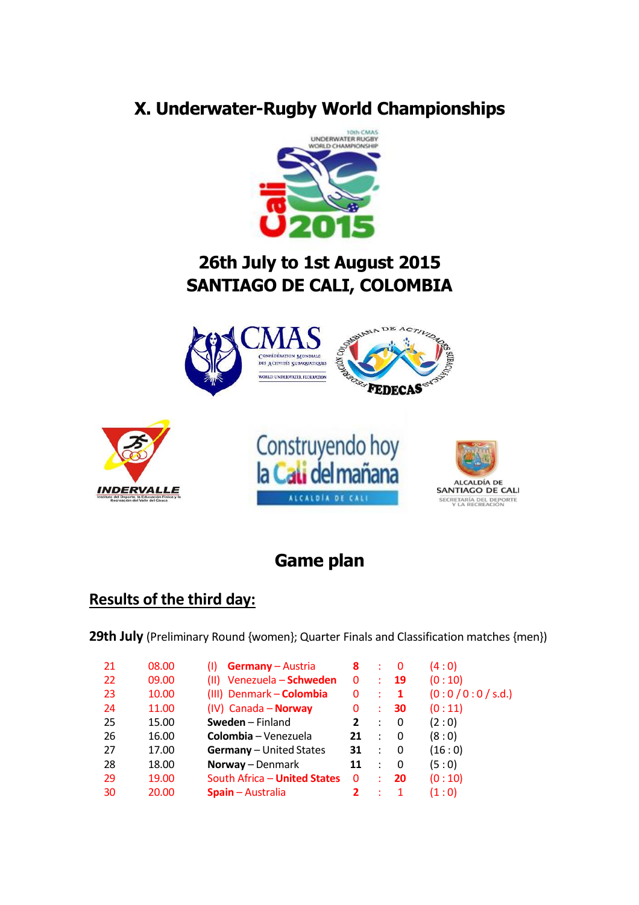# **X. Underwater-Rugby World Championships**



## **26th July to 1st August 2015 SANTIAGO DE CALI, COLOMBIA**









## **Game plan**

### **Results of the third day:**

**29th July** (Preliminary Round {women}; Quarter Finals and Classification matches {men})

| 21 | 08.00 | <b>Germany</b> – Austria       | 8            |                      | 0              | (4:0)          |
|----|-------|--------------------------------|--------------|----------------------|----------------|----------------|
| 22 | 09.00 | (II) Venezuela - Schweden      | 0            | ÷                    | 19             | (0:10)         |
| 23 | 10.00 | (III) Denmark - Colombia       | 0            | ÷                    | $\blacksquare$ | (0:0/0:0/s.d.) |
| 24 | 11.00 | (IV) Canada - Norway           | 0            | ÷                    | 30             | (0:11)         |
| 25 | 15.00 | Sweden - Finland               | 2            | $\ddot{\phantom{a}}$ | 0              | (2:0)          |
| 26 | 16.00 | Colombia – Venezuela           | 21           | $\mathbb{R}^2$       | $\overline{0}$ | (8:0)          |
| 27 | 17.00 | <b>Germany</b> - United States | 31           | $\sim$ 100 $\sim$    | - 0            | (16:0)         |
| 28 | 18.00 | Norway - Denmark               | 11           | $\ddot{\phantom{a}}$ | -0             | (5:0)          |
| 29 | 19.00 | South Africa - United States   | $\mathbf{0}$ |                      | 20             | (0:10)         |
| 30 | 20.00 | <b>Spain</b> – Australia       | 2            |                      |                | (1:0)          |
|    |       |                                |              |                      |                |                |